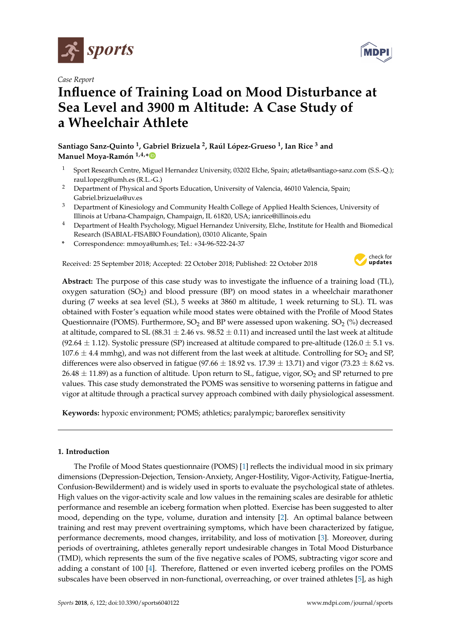

*Case Report*

# **Influence of Training Load on Mood Disturbance at Sea Level and 3900 m Altitude: A Case Study of a Wheelchair Athlete**

**Santiago Sanz-Quinto <sup>1</sup> , Gabriel Brizuela <sup>2</sup> , Raúl López-Grueso <sup>1</sup> , Ian Rice <sup>3</sup> and Manuel Moya-Ramón 1,4,[\\*](https://orcid.org/0000-0002-2291-5899)**

- <sup>1</sup> Sport Research Centre, Miguel Hernandez University, 03202 Elche, Spain; atleta@santiago-sanz.com (S.S.-Q.); raul.lopezg@umh.es (R.L.-G.)
- <sup>2</sup> Department of Physical and Sports Education, University of Valencia, 46010 Valencia, Spain; Gabriel.brizuela@uv.es
- <sup>3</sup> Department of Kinesiology and Community Health College of Applied Health Sciences, University of Illinois at Urbana-Champaign, Champaign, IL 61820, USA; ianrice@illinois.edu
- <sup>4</sup> Department of Health Psychology, Miguel Hernandez University, Elche, Institute for Health and Biomedical Research (ISABIAL-FISABIO Foundation), 03010 Alicante, Spain
- **\*** Correspondence: mmoya@umh.es; Tel.: +34-96-522-24-37

Received: 25 September 2018; Accepted: 22 October 2018; Published: 22 October 2018



**Abstract:** The purpose of this case study was to investigate the influence of a training load (TL), oxygen saturation  $(SO<sub>2</sub>)$  and blood pressure  $(BP)$  on mood states in a wheelchair marathoner during (7 weeks at sea level (SL), 5 weeks at 3860 m altitude, 1 week returning to SL). TL was obtained with Foster's equation while mood states were obtained with the Profile of Mood States Questionnaire (POMS). Furthermore,  $SO_2$  and BP were assessed upon wakening.  $SO_2$  (%) decreased at altitude, compared to SL (88.31  $\pm$  2.46 vs. 98.52  $\pm$  0.11) and increased until the last week at altitude (92.64  $\pm$  1.12). Systolic pressure (SP) increased at altitude compared to pre-altitude (126.0  $\pm$  5.1 vs.  $107.6 \pm 4.4$  mmhg), and was not different from the last week at altitude. Controlling for SO<sub>2</sub> and SP, differences were also observed in fatigue (97.66  $\pm$  18.92 vs. 17.39  $\pm$  13.71) and vigor (73.23  $\pm$  8.62 vs.  $26.48 \pm 11.89$ ) as a function of altitude. Upon return to SL, fatigue, vigor, SO<sub>2</sub> and SP returned to pre values. This case study demonstrated the POMS was sensitive to worsening patterns in fatigue and vigor at altitude through a practical survey approach combined with daily physiological assessment.

**Keywords:** hypoxic environment; POMS; athletics; paralympic; baroreflex sensitivity

## **1. Introduction**

The Profile of Mood States questionnaire (POMS) [\[1\]](#page-6-0) reflects the individual mood in six primary dimensions (Depression-Dejection, Tension-Anxiety, Anger-Hostility, Vigor-Activity, Fatigue-Inertia, Confusion-Bewilderment) and is widely used in sports to evaluate the psychological state of athletes. High values on the vigor-activity scale and low values in the remaining scales are desirable for athletic performance and resemble an iceberg formation when plotted. Exercise has been suggested to alter mood, depending on the type, volume, duration and intensity [\[2\]](#page-6-1). An optimal balance between training and rest may prevent overtraining symptoms, which have been characterized by fatigue, performance decrements, mood changes, irritability, and loss of motivation [\[3\]](#page-6-2). Moreover, during periods of overtraining, athletes generally report undesirable changes in Total Mood Disturbance (TMD), which represents the sum of the five negative scales of POMS, subtracting vigor score and adding a constant of 100 [\[4\]](#page-6-3). Therefore, flattened or even inverted iceberg profiles on the POMS subscales have been observed in non-functional, overreaching, or over trained athletes [\[5\]](#page-7-0), as high

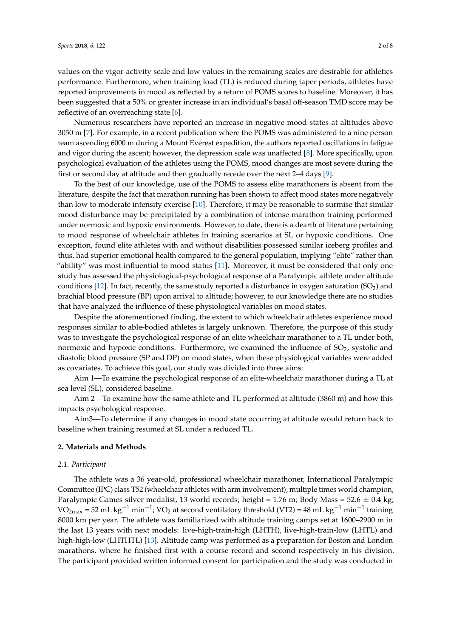values on the vigor-activity scale and low values in the remaining scales are desirable for athletics performance. Furthermore, when training load (TL) is reduced during taper periods, athletes have reported improvements in mood as reflected by a return of POMS scores to baseline. Moreover, it has been suggested that a 50% or greater increase in an individual's basal off-season TMD score may be reflective of an overreaching state [\[6\]](#page-7-1).

Numerous researchers have reported an increase in negative mood states at altitudes above 3050 m [\[7\]](#page-7-2). For example, in a recent publication where the POMS was administered to a nine person team ascending 6000 m during a Mount Everest expedition, the authors reported oscillations in fatigue and vigor during the ascent; however, the depression scale was unaffected [\[8\]](#page-7-3). More specifically, upon psychological evaluation of the athletes using the POMS, mood changes are most severe during the first or second day at altitude and then gradually recede over the next 2–4 days [\[9\]](#page-7-4).

To the best of our knowledge, use of the POMS to assess elite marathoners is absent from the literature, despite the fact that marathon running has been shown to affect mood states more negatively than low to moderate intensity exercise [\[10\]](#page-7-5). Therefore, it may be reasonable to surmise that similar mood disturbance may be precipitated by a combination of intense marathon training performed under normoxic and hypoxic environments. However, to date, there is a dearth of literature pertaining to mood response of wheelchair athletes in training scenarios at SL or hypoxic conditions. One exception, found elite athletes with and without disabilities possessed similar iceberg profiles and thus, had superior emotional health compared to the general population, implying "elite" rather than "ability" was most influential to mood status [\[11\]](#page-7-6). Moreover, it must be considered that only one study has assessed the physiological-psychological response of a Paralympic athlete under altitude conditions [\[12\]](#page-7-7). In fact, recently, the same study reported a disturbance in oxygen saturation  $(SO<sub>2</sub>)$  and brachial blood pressure (BP) upon arrival to altitude; however, to our knowledge there are no studies that have analyzed the influence of these physiological variables on mood states.

Despite the aforementioned finding, the extent to which wheelchair athletes experience mood responses similar to able-bodied athletes is largely unknown. Therefore, the purpose of this study was to investigate the psychological response of an elite wheelchair marathoner to a TL under both, normoxic and hypoxic conditions. Furthermore, we examined the influence of  $SO<sub>2</sub>$ , systolic and diastolic blood pressure (SP and DP) on mood states, when these physiological variables were added as covariates. To achieve this goal, our study was divided into three aims:

Aim 1—To examine the psychological response of an elite-wheelchair marathoner during a TL at sea level (SL), considered baseline.

Aim 2—To examine how the same athlete and TL performed at altitude (3860 m) and how this impacts psychological response.

Aim3—To determine if any changes in mood state occurring at altitude would return back to baseline when training resumed at SL under a reduced TL.

## **2. Materials and Methods**

#### *2.1. Participant*

The athlete was a 36 year-old, professional wheelchair marathoner, International Paralympic Committee (IPC) class T52 (wheelchair athletes with arm involvement), multiple times world champion, Paralympic Games silver medalist, 13 world records; height = 1.76 m; Body Mass =  $52.6 \pm 0.4$  kg; VO<sub>2max</sub> = 52 mL kg<sup>-1</sup> min<sup>-1</sup>; VO<sub>2</sub> at second ventilatory threshold (VT2) = 48 mL kg<sup>-1</sup> min<sup>-1</sup> training 8000 km per year. The athlete was familiarized with altitude training camps set at 1600–2900 m in the last 13 years with next models: live-high-train-high (LHTH), live-high-train-low (LHTL) and high-high-low (LHTHTL) [\[13\]](#page-7-8). Altitude camp was performed as a preparation for Boston and London marathons, where he finished first with a course record and second respectively in his division. The participant provided written informed consent for participation and the study was conducted in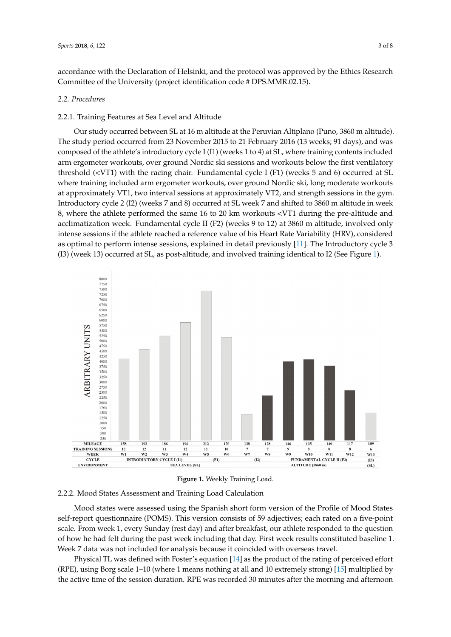accordance with the Declaration of Helsinki, and the protocol was approved by the Ethics Research *2.2. Procedures*  Committee of the University (project identification code # DPS.MMR.02.15).

#### *2.2. Procedures* 2.2.1. Training Features at Sea Level and Altitude

## 2.2.1. Training Features at Sea Level and Altitude

Our study occurred between SL at 16 m altitude at the Peruvian Altiplano (Puno, 3860 m altitude). The study period occurred from 23 November 2015 to 21 February 2016 (13 weeks; 91 days), and was composed of the athlete's introductory cycle I (I1) (weeks 1 to 4) at SL, where training contents included arm ergometer workouts, over ground Nordic ski sessions and workouts below the first ventilatory threshold (<VT1) with the racing chair. Fundamental cycle I (F1) (weeks 5 and 6) occurred at SL where training included arm ergometer workouts, over ground Nordic ski, long moderate workouts at approximately VT1, two interval sessions at approximately VT2, and strength sessions in the gym. Introductory cycle 2 (I2) (weeks 7 and 8) occurred at SL week 7 and shifted to 3860 m altitude in week. 8, where the athlete performed the same 16 to 20 km workouts <VT1 during the pre-altitude and acclimatization week. Fundamental cycle II (F2) (weeks 9 to 12) at 3860 m altitude, involved only intense sessions if the athlete reached a reference value of his Heart Rate Variability (HRV), considered as optimal to perform intense sessions, explained in detail previously [\[11\]](#page-7-6). The Introductory cycle 3 (I3) (week 13) occurred at SL, as post-altitude, and involved training identical to I2 (See Figure [1\)](#page-2-0).

<span id="page-2-0"></span>

**Figure 1.** Weekly Training Load.



self-report questionnaire (POMS). This version consists of 59 adjectives; each rated on a five-point scale. From week 1, every Sunday (rest day) and after breakfast, our athlete responded to the question of how he had felt during the past week including that day. First week results constituted baseline 1. Week 7 data was not included for analysis because it coincided with overseas travel. Mood states were assessed using the Spanish short form version of the Profile of Mood States

Physical TL was defined with Foster's equation [14] as the product of the rating of perceived effort (RPE), using Borg scale 1–10 (where 1 means nothing at all and 10 extremely strong) [\[15\]](#page-7-10) multiplied by the active time of the session duration. RPE was recorded 30 minutes after the morning and afternoon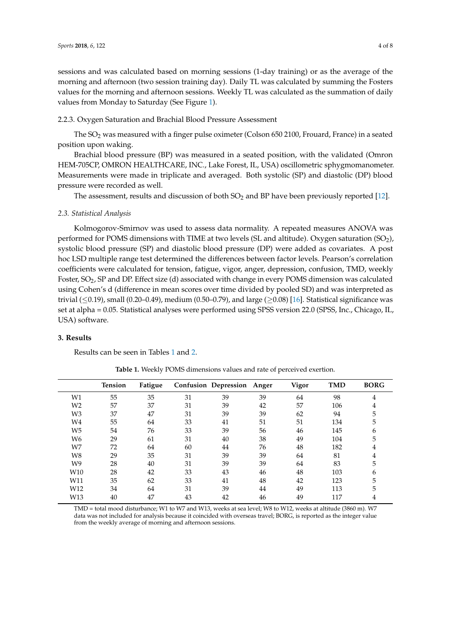sessions and was calculated based on morning sessions (1-day training) or as the average of the morning and afternoon (two session training day). Daily TL was calculated by summing the Fosters values for the morning and afternoon sessions. Weekly TL was calculated as the summation of daily values from Monday to Saturday (See Figure [1\)](#page-2-0).

## 2.2.3. Oxygen Saturation and Brachial Blood Pressure Assessment

The  $SO<sub>2</sub>$  was measured with a finger pulse oximeter (Colson 650 2100, Frouard, France) in a seated position upon waking.

Brachial blood pressure (BP) was measured in a seated position, with the validated (Omron HEM-705CP, OMRON HEALTHCARE, INC., Lake Forest, IL, USA) oscillometric sphygmomanometer. Measurements were made in triplicate and averaged. Both systolic (SP) and diastolic (DP) blood pressure were recorded as well.

The assessment, results and discussion of both  $SO<sub>2</sub>$  and BP have been previously reported [\[12\]](#page-7-7).

#### *2.3. Statistical Analysis*

Kolmogorov-Smirnov was used to assess data normality. A repeated measures ANOVA was performed for POMS dimensions with TIME at two levels (SL and altitude). Oxygen saturation (SO<sub>2</sub>), systolic blood pressure (SP) and diastolic blood pressure (DP) were added as covariates. A post hoc LSD multiple range test determined the differences between factor levels. Pearson's correlation coefficients were calculated for tension, fatigue, vigor, anger, depression, confusion, TMD, weekly Foster, SO2, SP and DP. Effect size (d) associated with change in every POMS dimension was calculated using Cohen's d (difference in mean scores over time divided by pooled SD) and was interpreted as trivial ( $\leq$ 0.19), small (0.20–0.49), medium (0.50–0.79), and large ( $\geq$ 0.08) [\[16\]](#page-7-11). Statistical significance was set at alpha = 0.05. Statistical analyses were performed using SPSS version 22.0 (SPSS, Inc., Chicago, IL, USA) software.

## **3. Results**

<span id="page-3-0"></span>Results can be seen in Tables [1](#page-3-0) and [2.](#page-4-0)

|                 | <b>Tension</b> | Fatigue |    | Confusion Depression Anger |    | <b>Vigor</b> | <b>TMD</b> | <b>BORG</b> |
|-----------------|----------------|---------|----|----------------------------|----|--------------|------------|-------------|
| W1              | 55             | 35      | 31 | 39                         | 39 | 64           | 98         | 4           |
| W <sub>2</sub>  | 57             | 37      | 31 | 39                         | 42 | 57           | 106        | 4           |
| W3              | 37             | 47      | 31 | 39                         | 39 | 62           | 94         | 5           |
| W4              | 55             | 64      | 33 | 41                         | 51 | 51           | 134        | 5           |
| W5              | 54             | 76      | 33 | 39                         | 56 | 46           | 145        | 6           |
| W6              | 29             | 61      | 31 | 40                         | 38 | 49           | 104        | 5           |
| W7              | 72             | 64      | 60 | 44                         | 76 | 48           | 182        | 4           |
| W8              | 29             | 35      | 31 | 39                         | 39 | 64           | 81         | 4           |
| W9              | 28             | 40      | 31 | 39                         | 39 | 64           | 83         | 5           |
| W <sub>10</sub> | 28             | 42      | 33 | 43                         | 46 | 48           | 103        | 6           |
| W11             | 35             | 62      | 33 | 41                         | 48 | 42           | 123        | 5           |
| W12             | 34             | 64      | 31 | 39                         | 44 | 49           | 113        | 5           |
| W13             | 40             | 47      | 43 | 42                         | 46 | 49           | 117        | 4           |

**Table 1.** Weekly POMS dimensions values and rate of perceived exertion.

TMD = total mood disturbance; W1 to W7 and W13, weeks at sea level; W8 to W12, weeks at altitude (3860 m). W7 data was not included for analysis because it coincided with overseas travel; BORG, is reported as the integer value from the weekly average of morning and afternoon sessions.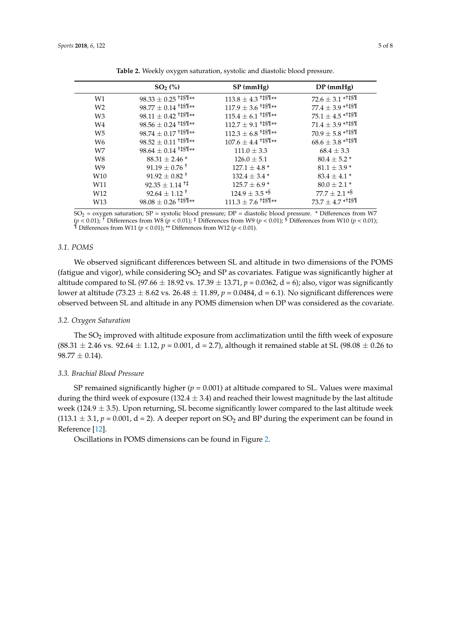<span id="page-4-0"></span>

|                 | $SO_2(%)$                        | SP(mmHg)                                                 | DP(mmHg)                       |
|-----------------|----------------------------------|----------------------------------------------------------|--------------------------------|
| W1              | $98.33 \pm 0.25$ <sup>+द**</sup> | $113.8 \pm 4.3$ <sup>+द**</sup>                          | $72.6 \pm 3.1$ ****            |
| W <sub>2</sub>  | $98.77 \pm 0.14$ <sup>+द**</sup> | $117.9 \pm 3.6$ <sup>+1\\$\dots\\right\**</sup>          | $77.4 \pm 3.9$ ****\$1         |
| W <sub>3</sub>  | $98.11 \pm 0.42$ <sup>+द**</sup> | $115.4 \pm 6.1$ <sup>+द**</sup>                          | $75.1 \pm 4.5$ *****           |
| W4              | $98.56 \pm 0.24$ <sup>+द**</sup> | $112.7 \pm 9.1$ <sup>+द**</sup>                          | $71.4 \pm 3.9$ ******          |
| W <sub>5</sub>  | $98.74 \pm 0.17$ <sup>+द**</sup> | $112.3 \pm 6.8$ <sup>+द**</sup>                          | $70.9 \pm 5.8$ ****\$1         |
| W6              | $98.52 \pm 0.11$ <sup>+द**</sup> | $107.6 \pm 4.4$ <sup>+द**</sup>                          | $68.6 \pm 3.8$ *****           |
| W7              | $98.64 \pm 0.14$ <sup>+द**</sup> | $111.0 \pm 3.3$                                          | $68.4 \pm 3.3$                 |
| W8              | $88.31 \pm 2.46*$                | $126.0 \pm 5.1$                                          | $80.4 \pm 5.2$ *               |
| W9              | $91.19 \pm 0.76$ <sup>+</sup>    | $127.1 \pm 4.8$ *                                        | $81.1 \pm 3.9*$                |
| W <sub>10</sub> | $91.92 \pm 0.82^+$               | $132.4 + 3.4*$                                           | $83.4 + 4.1*$                  |
| W11             | $92.35 \pm 1.14$ <sup>+‡</sup>   | $125.7 \pm 6.9$ *                                        | $80.0 \pm 2.1$ *               |
| W12             | $92.64 \pm 1.12$ <sup>+</sup>    | $124.9 \pm 3.5$ * $\frac{8}{3}$                          | $77.7 \pm 2.1$ * $\frac{8}{3}$ |
| W <sub>13</sub> | $98.08 \pm 0.26$ <sup>+द**</sup> | $111.3 \pm 7.6$ <sup>+<math>\frac{15}{18}</math>**</sup> | $73.7 \pm 4.7$ *****           |
|                 |                                  |                                                          |                                |

**Table 2.** Weekly oxygen saturation, systolic and diastolic blood pressure.

 $SO_2$  = oxygen saturation; SP = systolic blood pressure; DP = diastolic blood pressure. \* Differences from W7 (*p* < 0.01); † Differences from W8 (*p* < 0.01); ‡ Differences from W9 (*p* < 0.01); § Differences from W10 (*p* < 0.01); **T** Differences from W11 ( $p < 0.01$ ); \*\* Differences from W12 ( $p < 0.01$ ).

## *3.1. POMS*

We observed significant differences between SL and altitude in two dimensions of the POMS (fatigue and vigor), while considering  $SO<sub>2</sub>$  and SP as covariates. Fatigue was significantly higher at altitude compared to SL (97.66  $\pm$  18.92 vs. 17.39  $\pm$  13.71,  $p$  = 0.0362, d = 6); also, vigor was significantly lower at altitude (73.23 ± 8.62 vs. 26.48 ± 11.89, *p* = 0.0484, d = 6.1). No significant differences were observed between SL and altitude in any POMS dimension when DP was considered as the covariate.

## *3.2. Oxygen Saturation*

The  $SO<sub>2</sub>$  improved with altitude exposure from acclimatization until the fifth week of exposure  $(88.31 \pm 2.46 \text{ vs. } 92.64 \pm 1.12, p = 0.001, d = 2.7)$ , although it remained stable at SL (98.08  $\pm$  0.26 to  $98.77 \pm 0.14$ .

#### *3.3. Brachial Blood Pressure*

SP remained significantly higher  $(p = 0.001)$  at altitude compared to SL. Values were maximal during the third week of exposure (132.4  $\pm$  3.4) and reached their lowest magnitude by the last altitude week (124.9  $\pm$  3.5). Upon returning, SL become significantly lower compared to the last altitude week  $(113.1 \pm 3.1, p = 0.001, d = 2)$ . A deeper report on SO<sub>2</sub> and BP during the experiment can be found in Reference [\[12\]](#page-7-7).

Oscillations in POMS dimensions can be found in Figure [2.](#page-5-0)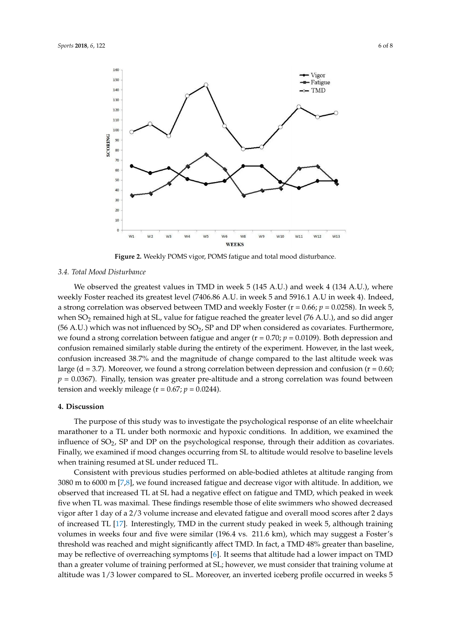<span id="page-5-0"></span>

**Figure 2.** Weekly POMS vigor, POMS fatigue and total mood disturbance. **Figure 2.** Weekly POMS vigor, POMS fatigue and total mood disturbance.

#### *3.4. Total Mood Disturbance*

weekly Foster reached its greatest level (7406.86 A.U. in week 5 and 5916.1 A.U in week 4). Indeed, a strong correlation was observed between TMD and weekly Foster (r = 0.66;  $p = 0.0258$ ). In week 5, when SO<sub>2</sub> remained high at SL, value for fatigue reached the greater level (76 A.U.), and so did anger (56 A.U.) which was not influenced by SO<sub>2</sub>, SP and DP when considered as covariates. Furthermore, we found a strong correlation between fatigue and anger ( $r = 0.70$ ;  $p = 0.0109$ ). Both depression and confusion remained similarly stable during the entirety of the experiment. However, in the last week, confusion increased 38.7% and the magnitude of change compared to the last altitude week was large (d = 3.7). Moreover, we found a strong correlation between depression and confusion (r = 0.60;  $p = 0.0367$ ). Finally, tension was greater pre-altitude and a strong correlation was found between  $\frac{1}{2}$  order pre-altitude and a strong correlation was found between tensor correlation was found between tension and a strong correlation was found between tensor  $\frac{1}{2}$ tension and weekly mileage ( $r = 0.67$ ;  $p = 0.0244$ ). We observed the greatest values in TMD in week 5 (145 A.U.) and week 4 (134 A.U.), where

## **4. Discussion**

**4. Discussion**  marathoner to a TL under both normoxic and hypoxic conditions. In addition, we examined the influence of  $SO_2$ , SP and DP on the psychological response, through their addition as covariates. Finally, we examined if mood changes occurring from SL to altitude would resolve to baseline levels when training resumed at SL under reduced TL. The purpose of this study was to investigate the psychological response of an elite wheelchair

Consistent with previous studies performed on able-bodied athletes at altitude ranging from 3080 m to 6000 m [\[7](#page-7-2)[,8\]](#page-7-3), we found increased fatigue and decrease vigor with altitude. In addition, we observed that increased TL at SL had a negative effect on fatigue and TMD, which peaked in week five when TL was maximal. These findings resemble those of elite swimmers who showed decreased vigor after 1 day of a 2/3 volume increase and elevated fatigue and overall mood scores after 2 days of increased TL [\[17\]](#page-7-12). Interestingly, TMD in the current study peaked in week 5, although training volumes in weeks four and five were similar (196.4 vs. 211.6 km), which may suggest a Foster's threshold was reached and might significantly affect TMD. In fact, a TMD 48% greater than baseline, may be reflective of overreaching symptoms [\[6\]](#page-7-1). It seems that altitude had a lower impact on TMD than a greater volume of training performed at SL; however, we must consider that training volume at altitude was 1/3 lower compared to SL. Moreover, an inverted iceberg profile occurred in weeks 5 at altitude was 1/3 lower compared to SL. Moreover, an inverted iceberg profile occurred in weeks 5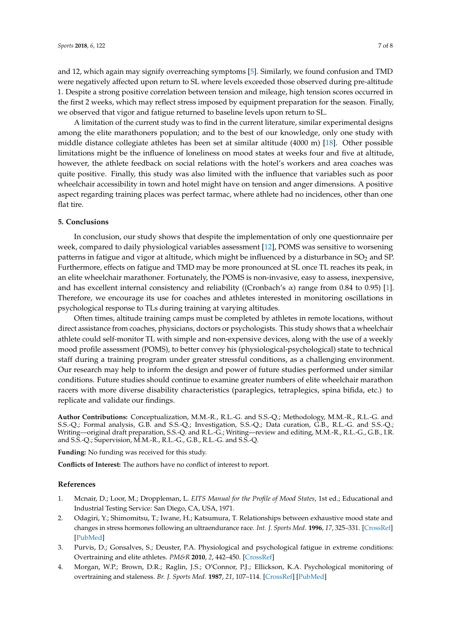and 12, which again may signify overreaching symptoms [\[5\]](#page-7-0). Similarly, we found confusion and TMD were negatively affected upon return to SL where levels exceeded those observed during pre-altitude 1. Despite a strong positive correlation between tension and mileage, high tension scores occurred in the first 2 weeks, which may reflect stress imposed by equipment preparation for the season. Finally, we observed that vigor and fatigue returned to baseline levels upon return to SL.

A limitation of the current study was to find in the current literature, similar experimental designs among the elite marathoners population; and to the best of our knowledge, only one study with middle distance collegiate athletes has been set at similar altitude (4000 m) [\[18\]](#page-7-13). Other possible limitations might be the influence of loneliness on mood states at weeks four and five at altitude, however, the athlete feedback on social relations with the hotel's workers and area coaches was quite positive. Finally, this study was also limited with the influence that variables such as poor wheelchair accessibility in town and hotel might have on tension and anger dimensions. A positive aspect regarding training places was perfect tarmac, where athlete had no incidences, other than one flat tire.

## **5. Conclusions**

In conclusion, our study shows that despite the implementation of only one questionnaire per week, compared to daily physiological variables assessment [\[12\]](#page-7-7), POMS was sensitive to worsening patterns in fatigue and vigor at altitude, which might be influenced by a disturbance in  $SO<sub>2</sub>$  and SP. Furthermore, effects on fatigue and TMD may be more pronounced at SL once TL reaches its peak, in an elite wheelchair marathoner. Fortunately, the POMS is non-invasive, easy to assess, inexpensive, and has excellent internal consistency and reliability ((Cronbach's  $\alpha$ ) range from 0.84 to 0.95) [\[1\]](#page-6-0). Therefore, we encourage its use for coaches and athletes interested in monitoring oscillations in psychological response to TLs during training at varying altitudes.

Often times, altitude training camps must be completed by athletes in remote locations, without direct assistance from coaches, physicians, doctors or psychologists. This study shows that a wheelchair athlete could self-monitor TL with simple and non-expensive devices, along with the use of a weekly mood profile assessment (POMS), to better convey his (physiological-psychological) state to technical staff during a training program under greater stressful conditions, as a challenging environment. Our research may help to inform the design and power of future studies performed under similar conditions. Future studies should continue to examine greater numbers of elite wheelchair marathon racers with more diverse disability characteristics (paraplegics, tetraplegics, spina bifida, etc.) to replicate and validate our findings.

**Author Contributions:** Conceptualization, M.M.-R., R.L.-G. and S.S.-Q.; Methodology, M.M.-R., R.L.-G. and S.S.-Q.; Formal analysis, G.B. and S.S.-Q.; Investigation, S.S.-Q.; Data curation, G.B., R.L.-G. and S.S.-Q.; Writing—original draft preparation, S.S.-Q. and R.L.-G.; Writing—review and editing, M.M.-R., R.L.-G., G.B., I.R. and S.S.-Q.; Supervision, M.M.-R., R.L.-G., G.B., R.L.-G. and S.S.-Q.

**Funding:** No funding was received for this study.

**Conflicts of Interest:** The authors have no conflict of interest to report.

## **References**

- <span id="page-6-0"></span>1. Mcnair, D.; Loor, M.; Droppleman, L. *EITS Manual for the Profile of Mood States*, 1st ed.; Educational and Industrial Testing Service: San Diego, CA, USA, 1971.
- <span id="page-6-1"></span>2. Odagiri, Y.; Shimomitsu, T.; Iwane, H.; Katsumura, T. Relationships between exhaustive mood state and changes in stress hormones following an ultraendurance race. *Int. J. Sports Med.* **1996**, *17*, 325–331. [\[CrossRef\]](http://dx.doi.org/10.1055/s-2007-972855) [\[PubMed\]](http://www.ncbi.nlm.nih.gov/pubmed/8858402)
- <span id="page-6-2"></span>3. Purvis, D.; Gonsalves, S.; Deuster, P.A. Physiological and psychological fatigue in extreme conditions: Overtraining and elite athletes. *PM&R* **2010**, *2*, 442–450. [\[CrossRef\]](http://dx.doi.org/10.1016/j.pmrj.2010.03.025)
- <span id="page-6-3"></span>4. Morgan, W.P.; Brown, D.R.; Raglin, J.S.; O'Connor, P.J.; Ellickson, K.A. Psychological monitoring of overtraining and staleness. *Br. J. Sports Med.* **1987**, *21*, 107–114. [\[CrossRef\]](http://dx.doi.org/10.1136/bjsm.21.3.107) [\[PubMed\]](http://www.ncbi.nlm.nih.gov/pubmed/3676635)